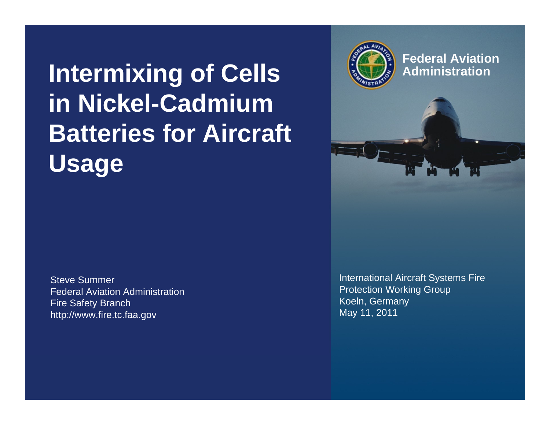**Intermixing of Cells in Nickel-Cadmium Batteries for Aircraft Usage**

Steve SummerFederal Aviation AdministrationFire Safety Branch http://www.fire.tc.faa.gov



**Federal AviationAdministration**

International Aircraft Systems Fire Protection Working Group Koeln, Germany May 11, 2011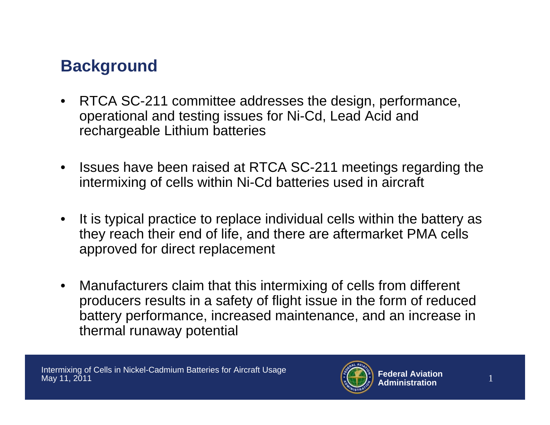# **Background**

- RTCA SC-211 committee addresses the design, performance, operational and testing issues for Ni-Cd, Lead Acid and rechargeable Lithium batteries
- $\bullet$  Issues have been raised at RTCA SC-211 meetings regarding the intermixing of cells within Ni-Cd batteries used in aircraft
- $\bullet$  It is typical practice to replace individual cells within the battery as they reach their end of life, and there are aftermarket PMA cells approved for direct replacement
- $\bullet$  Manufacturers claim that this intermixing of cells from different producers results in a safety of flight issue in the form of reduced battery performance, increased maintenance, and an increase in thermal runaway potential

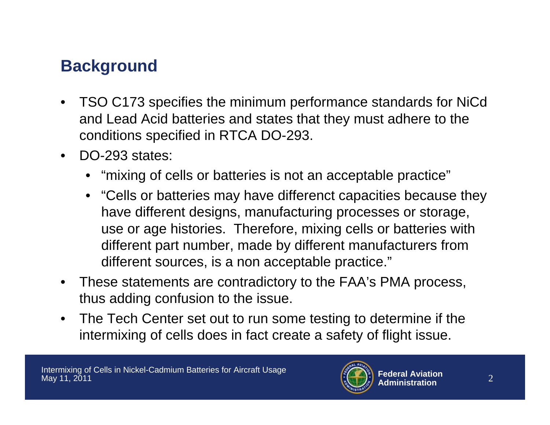# **Background**

- • TSO C173 specifies the minimum performance standards for NiCd and Lead Acid batteries and states that they must adhere to the conditions specified in RTCA DO-293.
- • DO-293 states:
	- "mixing of cells or batteries is not an acceptable practice"
	- "Cells or batteries may have differenct capacities because they have different designs, manufacturing processes or storage, use or age histories. Therefore, mixing cells or batteries with different part number, made by different manufacturers from different sources, is a non acceptable practice."
- $\bullet$  These statements are contradictory to the FAA's PMA process, thus adding confusion to the issue.
- $\bullet$  The Tech Center set out to run some testing to determine if the intermixing of cells does in fact create a safety of flight issue.

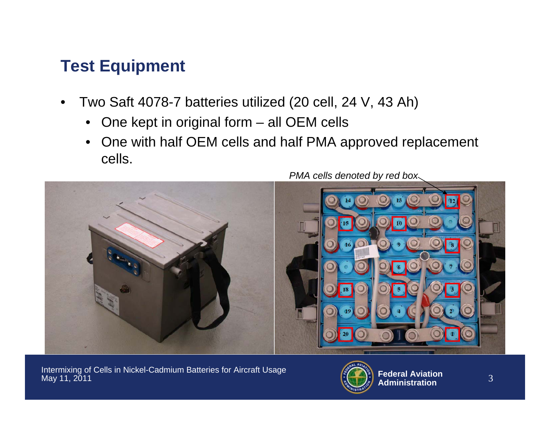# **Test Equipment**

- • Two Saft 4078-7 batteries utilized (20 cell, 24 V, 43 Ah)
	- •One kept in original form – all OEM cells
	- • One with half OEM cells and half PMA approved replacement cells.



Intermixing of Cells in Nickel-Cadmium Batteries for Aircraft Usage May 11, 2011

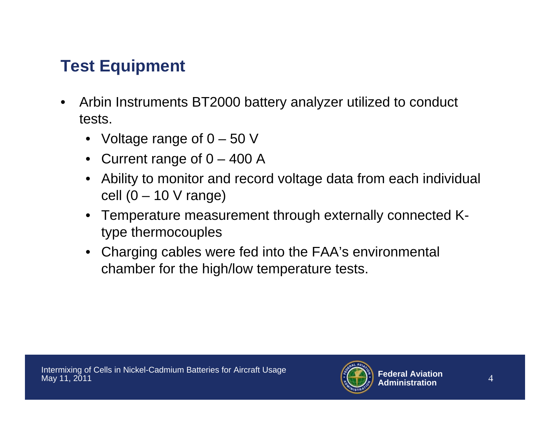# **Test Equipment**

- • Arbin Instruments BT2000 battery analyzer utilized to conduct tests.
	- Voltage range of 0 50 V
	- Current range of 0 400 A
	- Ability to monitor and record voltage data from each individual cell  $(0 - 10$  V range)
	- Temperature measurement through externally connected Ktype thermocouples
	- Charging cables were fed into the FAA's environmental chamber for the high/low temperature tests.

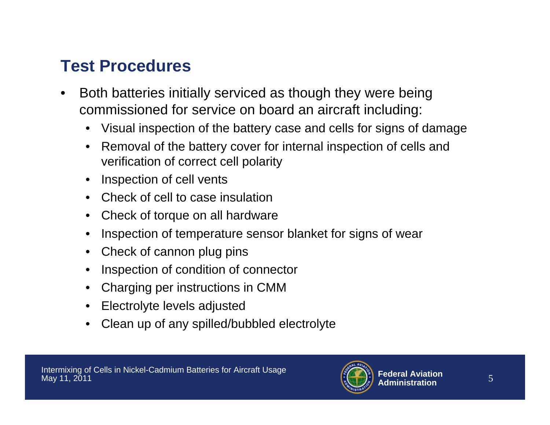## **Test Procedures**

- • Both batteries initially serviced as though they were being commissioned for service on board an aircraft including:
	- Visual inspection of the battery case and cells for signs of damage
	- • Removal of the battery cover for internal inspection of cells and verification of correct cell polarity
	- Inspection of cell vents
	- Check of cell to case insulation
	- •Check of torque on all hardware
	- •Inspection of temperature sensor blanket for signs of wear
	- •Check of cannon plug pins
	- •Inspection of condition of connector
	- Charging per instructions in CMM
	- Electrolyte levels adjusted
	- •Clean up of any spilled/bubbled electrolyte

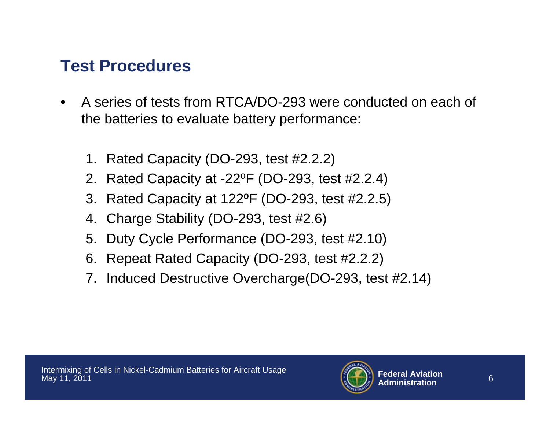## **Test Procedures**

- • A series of tests from RTCA/DO-293 were conducted on each of the batteries to evaluate battery performance:
	- 1. Rated Capacity (DO-293, test #2.2.2)
	- 2. Rated Capacity at -22ºF (DO-293, test #2.2.4)
	- 3. Rated Capacity at 122ºF (DO-293, test #2.2.5)
	- 4. Charge Stability (DO-293, test #2.6)
	- 5. Duty Cycle Performance (DO-293, test #2.10)
	- 6. Repeat Rated Capacity (DO-293, test #2.2.2)
	- 7. Induced Destructive Overcharge(DO-293, test #2.14)

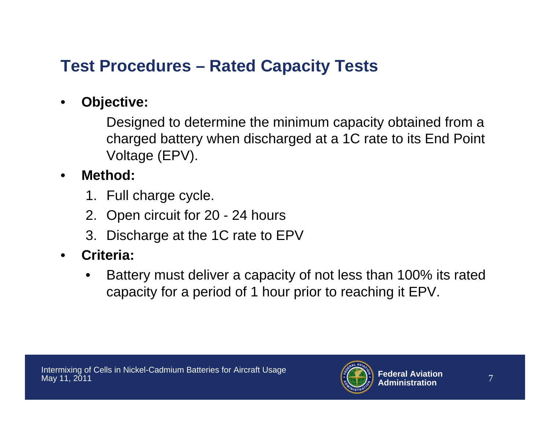# **Test Procedures – Rated Capacity Tests**

#### •**Objective:**

Designed to determine the minimum capacity obtained from a charged battery when discharged at a 1C rate to its End Point Voltage (EPV).

#### •**Method:**

- 1. Full charge cycle.
- 2. Open circuit for 20 24 hours
- 3. Discharge at the 1C rate to EPV

#### •**Criteria:**

• Battery must deliver a capacity of not less than 100% its rated capacity for a period of 1 hour prior to reaching it EPV.

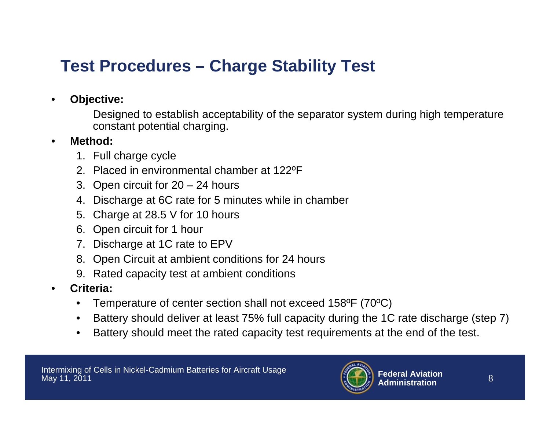# **Test Procedures – Charge Stability Test**

•**Objective:**

> Designed to establish acceptability of the separator system during high temperature constant potential charging.

- • **Method:**
	- 1. Full charge cycle
	- 2. Placed in environmental chamber at 122ºF
	- 3. Open circuit for 20 24 hours
	- 4. Discharge at 6C rate for 5 minutes while in chamber
	- 5. Charge at 28.5 V for 10 hours
	- 6. Open circuit for 1 hour
	- 7. Discharge at 1C rate to EPV
	- 8. Open Circuit at ambient conditions for 24 hours
	- 9. Rated capacity test at ambient conditions
- • **Criteria:**
	- •Temperature of center section shall not exceed 158ºF (70ºC)
	- $\bullet$ Battery should deliver at least 75% full capacity during the 1C rate discharge (step 7)
	- •Battery should meet the rated capacity test requirements at the end of the test.

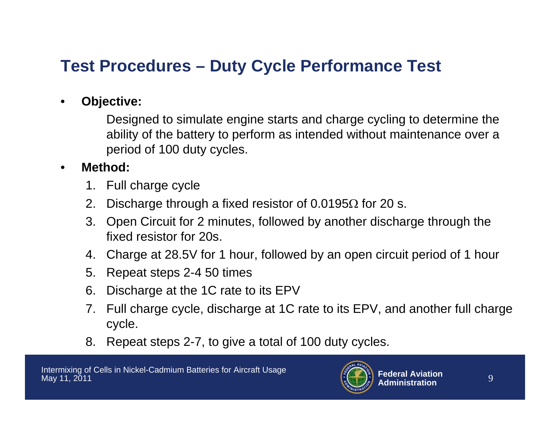# **Test Procedures – Duty Cycle Performance Test**

#### •**Objective:**

Designed to simulate engine starts and charge cycling to determine the ability of the battery to perform as intended without maintenance over a period of 100 duty cycles.

#### •**Method:**

- 1. Full charge cycle
- 2. Discharge through a fixed resistor of 0.0195 $\Omega$  for 20 s.
- 3. Open Circuit for 2 minutes, followed by another discharge through the fixed resistor for 20s.
- 4. Charge at 28.5V for 1 hour, followed by an open circuit period of 1 hour
- 5. Repeat steps 2-4 50 times
- 6. Discharge at the 1C rate to its EPV
- 7. Full charge cycle, discharge at 1C rate to its EPV, and another full charge cycle.
- 8. Repeat steps 2-7, to give a total of 100 duty cycles.

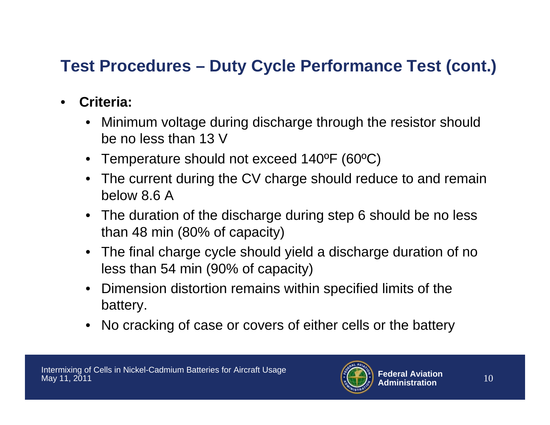# **Test Procedures – Duty Cycle Performance Test (cont.)**

- • **Criteria:**
	- Minimum voltage during discharge through the resistor should be no less than 13 V
	- Temperature should not exceed 140ºF (60ºC)
	- The current during the CV charge should reduce to and remain below 8.6 A
	- The duration of the discharge during step 6 should be no less than 48 min (80% of capacity)
	- The final charge cycle should yield a discharge duration of no less than 54 min (90% of capacity)
	- Dimension distortion remains within specified limits of the battery.
	- No cracking of case or covers of either cells or the battery

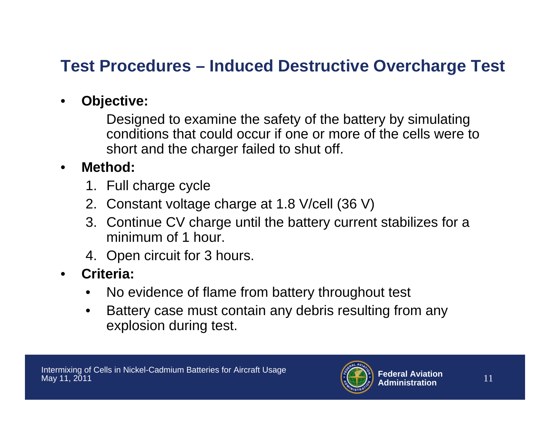## **Test Procedures – Induced Destructive Overcharge Test**

#### •**Objective:**

Designed to examine the safety of the battery by simulating conditions that could occur if one or more of the cells were to short and the charger failed to shut off.

#### •**Method:**

- 1. Full charge cycle
- 2. Constant voltage charge at 1.8 V/cell (36 V)
- 3. Continue CV charge until the battery current stabilizes for a minimum of 1 hour.
- 4. Open circuit for 3 hours.
- • **Criteria:**
	- •No evidence of flame from battery throughout test
	- • Battery case must contain any debris resulting from any explosion during test.

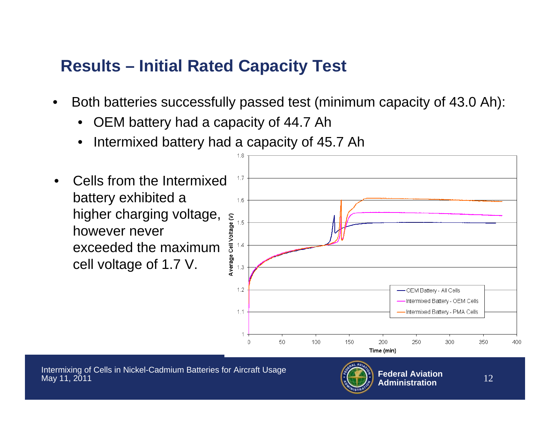# **Results – Initial Rated Capacity Test**

- • Both batteries successfully passed test (minimum capacity of 43.0 Ah):
	- •OEM battery had a capacity of 44.7 Ah
	- •Intermixed battery had a capacity of 45.7 Ah

1.8

 Cells from the Intermixed  $1.7$ •battery exhibited a 1.6 higher charging voltage, Average Cell Voltage (V)  $15$ however never exceeded the maximum  $1.4$ cell voltage of 1.7 V. $1.3$  $1.2$ OEM Battery - All Cells Intermixed Battery - OEM Cells Intermixed Battery - PMA Cells  $1.1$  $\cap$ 50 100 150 200 250 300 350 400 Time (min) Intermixing of Cells in Nickel-Cadmium Batteries for Aircraft Usage **Federal Aviation** $\mathbf{n}$  and  $\mathbf{n}$  and  $\mathbf{n}$ May 11, 2011  $\frac{12}{n}$ **Administration**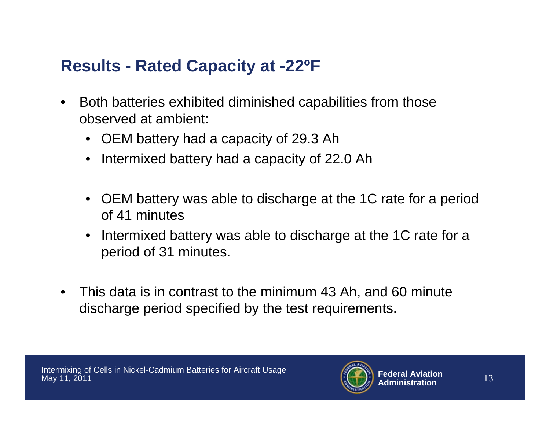## **Results - Rated Capacity at -22ºF**

- $\bullet$  Both batteries exhibited diminished capabilities from those observed at ambient:
	- OEM battery had a capacity of 29.3 Ah
	- Intermixed battery had a capacity of 22.0 Ah
	- OEM battery was able to discharge at the 1C rate for a period of 41 minutes
	- Intermixed battery was able to discharge at the 1C rate for a period of 31 minutes.
- $\bullet$  This data is in contrast to the minimum 43 Ah, and 60 minute discharge period specified by the test requirements.

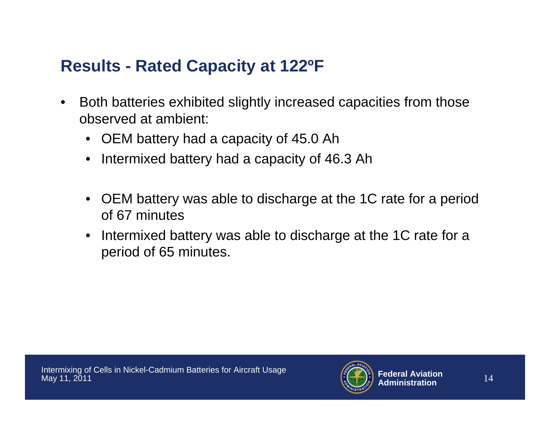# **Results - Rated Capacity at 122ºF**

- $\bullet$  Both batteries exhibited slightly increased capacities from those observed at ambient:
	- OEM battery had a capacity of 45.0 Ah
	- Intermixed battery had a capacity of 46.3 Ah
	- OEM battery was able to discharge at the 1C rate for a period of 67 minutes
	- Intermixed battery was able to discharge at the 1C rate for a period of 65 minutes.

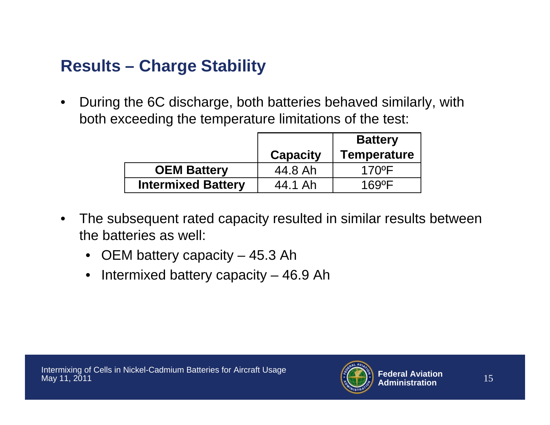# **Results – Charge Stability**

• During the 6C discharge, both batteries behaved similarly, with both exceeding the temperature limitations of the test:

|                           | <b>Capacity</b> | <b>Battery</b><br>Temperature |
|---------------------------|-----------------|-------------------------------|
| <b>OEM Battery</b>        | 44.8 Ah         | $170$ <sup>o</sup> F          |
| <b>Intermixed Battery</b> | 44.1 Ah         | 1690F                         |

- $\bullet$  The subsequent rated capacity resulted in similar results between the batteries as well:
	- OEM battery capacity 45.3 Ah
	- Intermixed battery capacity 46.9 Ah

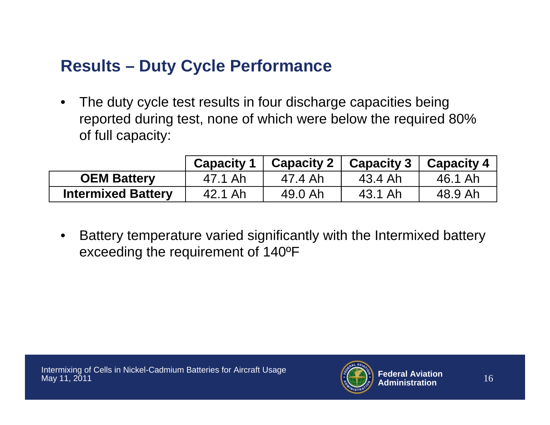# **Results – Duty Cycle Performance**

• The duty cycle test results in four discharge capacities being reported during test, none of which were below the required 80% of full capacity:

|                           | <b>Capacity 1</b> |         | Capacity 2   Capacity 3 | <b>Capacity 4</b> |
|---------------------------|-------------------|---------|-------------------------|-------------------|
| <b>OEM Battery</b>        | 47.1 Ah           | 47.4 Ah | 43.4 Ah                 | 46.1 Ah           |
| <b>Intermixed Battery</b> | 42.1 Ah           | 49.0 Ah | 43.1 Ah                 | 48.9 Ah           |

• Battery temperature varied significantly with the Intermixed battery exceeding the requirement of 140ºF

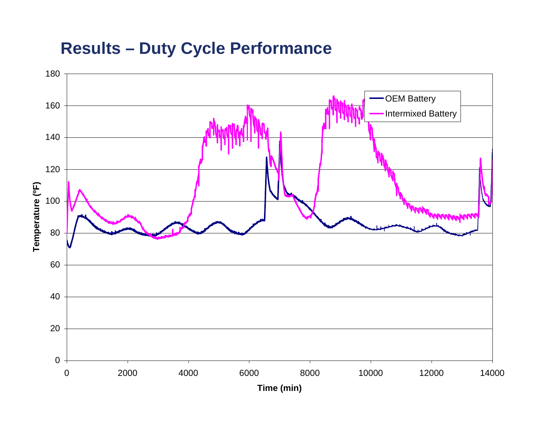### **Results – Duty Cycle Performance**

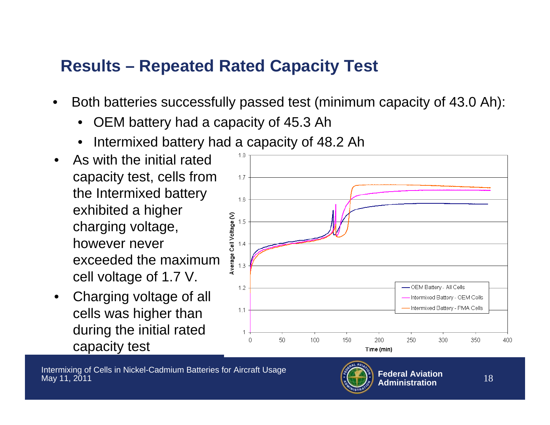# **Results – Repeated Rated Capacity Test**

- • Both batteries successfully passed test (minimum capacity of 43.0 Ah):
	- •OEM battery had a capacity of 45.3 Ah
	- •Intermixed battery had a capacity of 48.2 Ah
- • As with the initial rated capacity test, cells from the Intermixed battery exhibited a higher charging voltage, however never exceeded the maximum cell voltage of 1.7 V.
- • Charging voltage of all cells was higher than during the initial rated capacity test



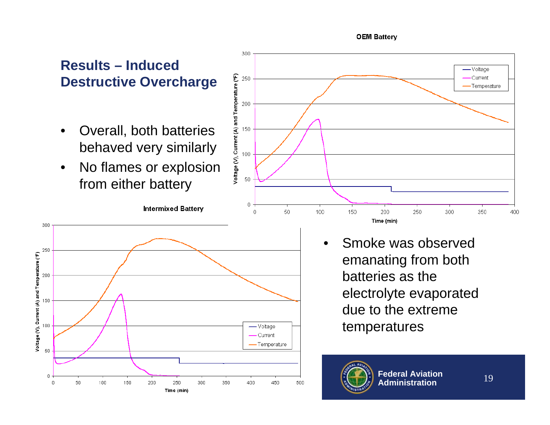### **Results – Induced Destructive Overcharge**

- • Overall, both batteries behaved very similarly
- $\bullet$  No flames or explosion from either battery

**Intermixed Battery** 

Intermixing of Cells in Nickel-Cadmium Batteries for Aircraft Usage

250

Time (min)

300

350

400

200

May 11, 2011

100

150

300

250

200

150

-50

Voltage (V), Current (A) and Temperature (°F)



• Smoke was observed emanating from both batteries as the electrolyte evaporated due to the extreme temperatures



- Voltage Current Temperature

450

500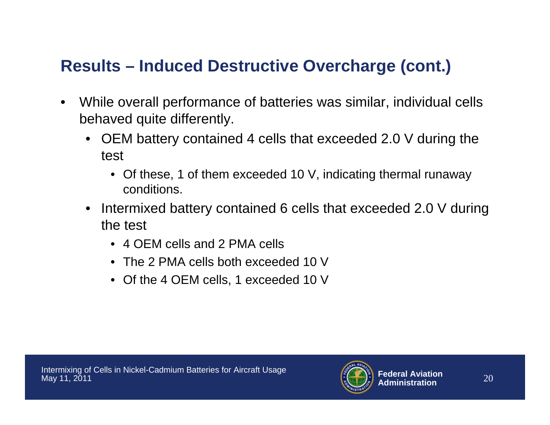# **Results – Induced Destructive Overcharge (cont.)**

- $\bullet$  While overall performance of batteries was similar, individual cells behaved quite differently.
	- OEM battery contained 4 cells that exceeded 2.0 V during the test
		- Of these, 1 of them exceeded 10 V, indicating thermal runaway conditions.
	- Intermixed battery contained 6 cells that exceeded 2.0 V during the test
		- 4 OEM cells and 2 PMA cells
		- The 2 PMA cells both exceeded 10 V
		- Of the 4 OEM cells, 1 exceeded 10 V

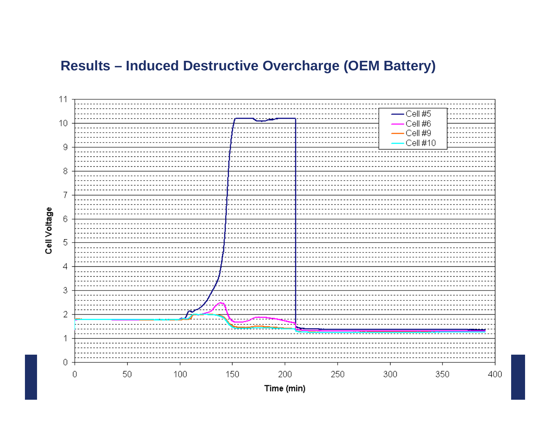### **Results – Induced Destructive Overcharge (OEM Battery)**



Cell Voltage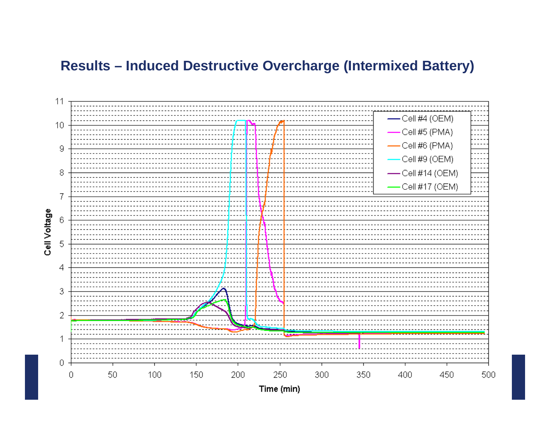### **Results – Induced Destructive Overcharge (Intermixed Battery)**

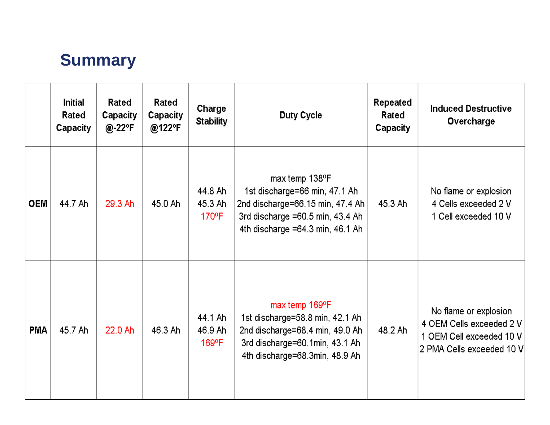### **Summary**

|            | <b>Initial</b><br>Rated<br>Capacity | Rated<br>Capacity<br>@-22°F | Rated<br>Capacity<br>@122°F | Charge<br><b>Stability</b>     | Duty Cycle                                                                                                                                                      | Repeated<br>Rated<br>Capacity | <b>Induced Destructive</b><br>Overcharge                                                                   |
|------------|-------------------------------------|-----------------------------|-----------------------------|--------------------------------|-----------------------------------------------------------------------------------------------------------------------------------------------------------------|-------------------------------|------------------------------------------------------------------------------------------------------------|
| <b>OEM</b> | 44.7 Ah                             | 29.3 Ah                     | 45.0 Ah                     | 44.8 Ah<br>45.3 Ah<br>170°F    | max temp 138°F<br>1st discharge=66 min, 47.1 Ah<br>2nd discharge=66.15 min, 47.4 Ah<br>3rd discharge $=60.5$ min, 43.4 Ah<br>4th discharge $=64.3$ min, 46.1 Ah | 45.3 Ah                       | No flame or explosion<br>4 Cells exceeded 2 V<br>1 Cell exceeded 10 V                                      |
| <b>PMA</b> | 45.7 Ah                             | 22.0 Ah                     | 46.3 Ah                     | 44.1 Ah<br>46.9 Ah<br>$169$ °F | max temp 169°F<br>1st discharge=58.8 min, 42.1 Ah<br>2nd discharge=68.4 min, 49.0 Ah<br>3rd discharge=60.1min, 43.1 Ah<br>4th discharge=68.3min, 48.9 Ah        | 48.2 Ah                       | No flame or explosion<br>4 OEM Cells exceeded 2 V<br>1 OEM Cell exceeded 10 V<br>2 PMA Cells exceeded 10 V |